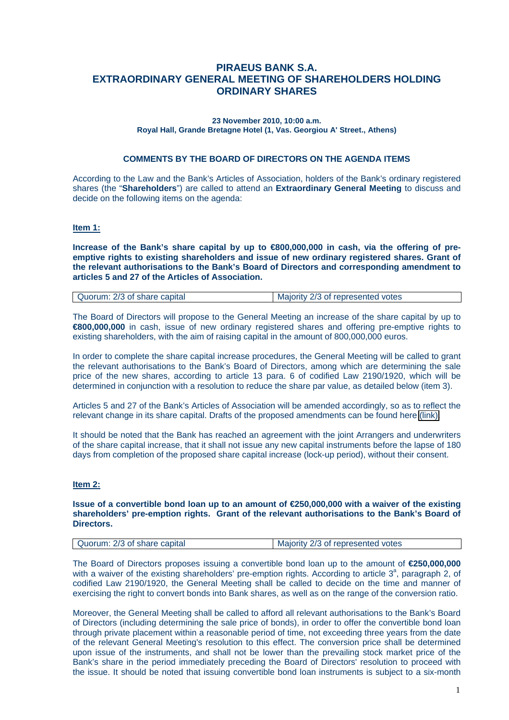# **PIRAEUS BANK S.A. EXTRAORDINARY GENERAL MEETING OF SHAREHOLDERS HOLDING ORDINARY SHARES**

#### **23 November 2010, 10:00 a.m. Royal Hall, Grande Bretagne Hotel (1, Vas. Georgiou A' Street., Athens)**

#### **COMMENTS BY THE BOARD OF DIRECTORS ON THE AGENDA ITEMS**

According to the Law and the Bank's Articles of Association, holders of the Bank's ordinary registered shares (the "**Shareholders**") are called to attend an **Extraordinary General Meeting** to discuss and decide on the following items on the agenda:

#### **Item 1:**

**Increase of the Bank's share capital by up to €800,000,000 in cash, via the offering of preemptive rights to existing shareholders and issue of new ordinary registered shares. Grant of the relevant authorisations to the Bank's Board of Directors and corresponding amendment to articles 5 and 27 of the Articles of Association.** 

| Quorum: 2/3 of share capital | Majority 2/3 of represented votes |
|------------------------------|-----------------------------------|
|------------------------------|-----------------------------------|

The Board of Directors will propose to the General Meeting an increase of the share capital by up to **€800,000,000** in cash, issue of new ordinary registered shares and offering pre-emptive rights to existing shareholders, with the aim of raising capital in the amount of 800,000,000 euros.

In order to complete the share capital increase procedures, the General Meeting will be called to grant the relevant authorisations to the Bank's Board of Directors, among which are determining the sale price of the new shares, according to article 13 para. 6 of codified Law 2190/1920, which will be determined in conjunction with a resolution to reduce the share par value, as detailed below (item 3).

Articles 5 and 27 of the Bank's Articles of Association will be amended accordingly, so as to reflect the relevant change in its share capital. Drafts of the proposed amendments can be found here [\(link\).](http://www.piraeusbank.gr/Documents/internet/Enimerosi_Ependiton/General_Meetings/2010/Tropopoiisi_1.pdf)

It should be noted that the Bank has reached an agreement with the joint Arrangers and underwriters of the share capital increase, that it shall not issue any new capital instruments before the lapse of 180 days from completion of the proposed share capital increase (lock-up period), without their consent.

#### **Item 2:**

#### **Issue of a convertible bond loan up to an amount of €250,000,000 with a waiver of the existing shareholders' pre-emption rights. Grant of the relevant authorisations to the Bank's Board of Directors.**

| Quorum: 2/3 of share capital | Majority 2/3 of represented votes |
|------------------------------|-----------------------------------|
|                              |                                   |

The Board of Directors proposes issuing a convertible bond loan up to the amount of **€250,000,000** with a waiver of the existing shareholders' pre-emption rights. According to article  $3<sup>a</sup>$ , paragraph 2, of codified Law 2190/1920, the General Meeting shall be called to decide on the time and manner of exercising the right to convert bonds into Bank shares, as well as on the range of the conversion ratio.

Moreover, the General Meeting shall be called to afford all relevant authorisations to the Bank's Board of Directors (including determining the sale price of bonds), in order to offer the convertible bond loan through private placement within a reasonable period of time, not exceeding three years from the date of the relevant General Meeting's resolution to this effect. The conversion price shall be determined upon issue of the instruments, and shall not be lower than the prevailing stock market price of the Bank's share in the period immediately preceding the Board of Directors' resolution to proceed with the issue. It should be noted that issuing convertible bond loan instruments is subject to a six-month